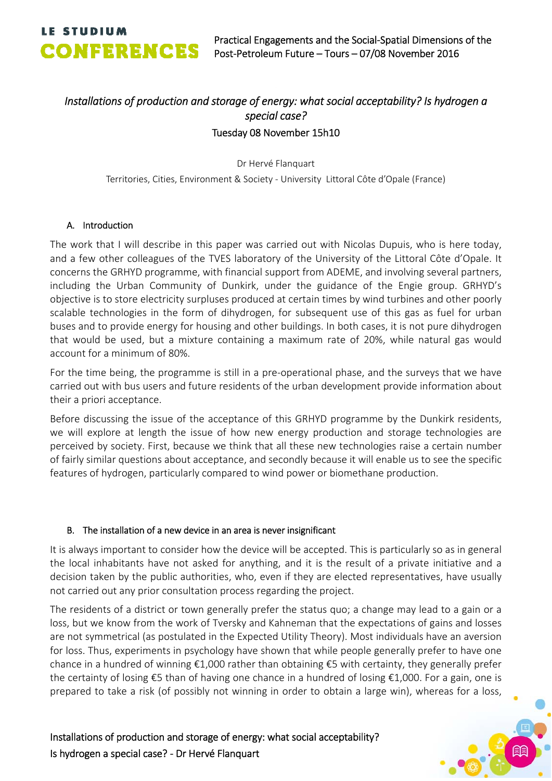## *Installations of production and storage of energy: what social acceptability? Is hydrogen a special case?* Tuesday 08 November 15h10

Dr Hervé Flanquart Territories, Cities, Environment & Society ‐ University Littoral Côte d'Opale (France)

### A. Introduction

The work that I will describe in this paper was carried out with Nicolas Dupuis, who is here today, and a few other colleagues of the TVES laboratory of the University of the Littoral Côte d'Opale. It concerns the GRHYD programme, with financial support from ADEME, and involving several partners, including the Urban Community of Dunkirk, under the guidance of the Engie group. GRHYD's objective is to store electricity surpluses produced at certain times by wind turbines and other poorly scalable technologies in the form of dihydrogen, for subsequent use of this gas as fuel for urban buses and to provide energy for housing and other buildings. In both cases, it is not pure dihydrogen that would be used, but a mixture containing a maximum rate of 20%, while natural gas would account for a minimum of 80%.

For the time being, the programme is still in a pre‐operational phase, and the surveys that we have carried out with bus users and future residents of the urban development provide information about their a priori acceptance.

Before discussing the issue of the acceptance of this GRHYD programme by the Dunkirk residents, we will explore at length the issue of how new energy production and storage technologies are perceived by society. First, because we think that all these new technologies raise a certain number of fairly similar questions about acceptance, and secondly because it will enable us to see the specific features of hydrogen, particularly compared to wind power or biomethane production.

### B. The installation of a new device in an area is never insignificant

It is always important to consider how the device will be accepted. This is particularly so as in general the local inhabitants have not asked for anything, and it is the result of a private initiative and a decision taken by the public authorities, who, even if they are elected representatives, have usually not carried out any prior consultation process regarding the project.

The residents of a district or town generally prefer the status quo; a change may lead to a gain or a loss, but we know from the work of Tversky and Kahneman that the expectations of gains and losses are not symmetrical (as postulated in the Expected Utility Theory). Most individuals have an aversion for loss. Thus, experiments in psychology have shown that while people generally prefer to have one chance in a hundred of winning €1,000 rather than obtaining €5 with certainty, they generally prefer the certainty of losing €5 than of having one chance in a hundred of losing €1,000. For a gain, one is prepared to take a risk (of possibly not winning in order to obtain a large win), whereas for a loss,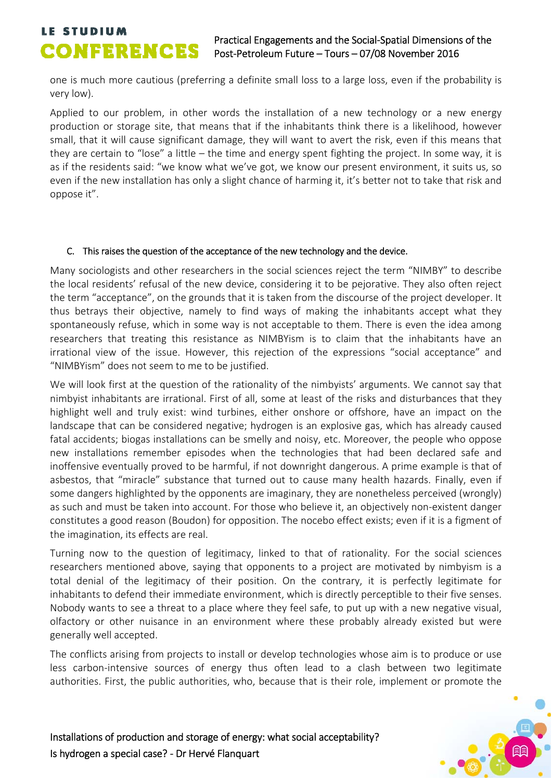## **LE STUDIUM**<br>Practical Engagements and the Social-Spatial Dimensions of the<br>Post-Petroleum Future – Tours – 07/08 November 2016 Post‐Petroleum Future – Tours – 07/08 November 2016

one is much more cautious (preferring a definite small loss to a large loss, even if the probability is very low).

Applied to our problem, in other words the installation of a new technology or a new energy production or storage site, that means that if the inhabitants think there is a likelihood, however small, that it will cause significant damage, they will want to avert the risk, even if this means that they are certain to "lose" a little – the time and energy spent fighting the project. In some way, it is as if the residents said: "we know what we've got, we know our present environment, it suits us, so even if the new installation has only a slight chance of harming it, it's better not to take that risk and oppose it".

### C. This raises the question of the acceptance of the new technology and the device.

Many sociologists and other researchers in the social sciences reject the term "NIMBY" to describe the local residents' refusal of the new device, considering it to be pejorative. They also often reject the term "acceptance", on the grounds that it is taken from the discourse of the project developer. It thus betrays their objective, namely to find ways of making the inhabitants accept what they spontaneously refuse, which in some way is not acceptable to them. There is even the idea among researchers that treating this resistance as NIMBYism is to claim that the inhabitants have an irrational view of the issue. However, this rejection of the expressions "social acceptance" and "NIMBYism" does not seem to me to be justified.

We will look first at the question of the rationality of the nimbyists' arguments. We cannot say that nimbyist inhabitants are irrational. First of all, some at least of the risks and disturbances that they highlight well and truly exist: wind turbines, either onshore or offshore, have an impact on the landscape that can be considered negative; hydrogen is an explosive gas, which has already caused fatal accidents; biogas installations can be smelly and noisy, etc. Moreover, the people who oppose new installations remember episodes when the technologies that had been declared safe and inoffensive eventually proved to be harmful, if not downright dangerous. A prime example is that of asbestos, that "miracle" substance that turned out to cause many health hazards. Finally, even if some dangers highlighted by the opponents are imaginary, they are nonetheless perceived (wrongly) as such and must be taken into account. For those who believe it, an objectively non‐existent danger constitutes a good reason (Boudon) for opposition. The nocebo effect exists; even if it is a figment of the imagination, its effects are real.

Turning now to the question of legitimacy, linked to that of rationality. For the social sciences researchers mentioned above, saying that opponents to a project are motivated by nimbyism is a total denial of the legitimacy of their position. On the contrary, it is perfectly legitimate for inhabitants to defend their immediate environment, which is directly perceptible to their five senses. Nobody wants to see a threat to a place where they feel safe, to put up with a new negative visual, olfactory or other nuisance in an environment where these probably already existed but were generally well accepted.

The conflicts arising from projects to install or develop technologies whose aim is to produce or use less carbon‐intensive sources of energy thus often lead to a clash between two legitimate authorities. First, the public authorities, who, because that is their role, implement or promote the

Installations of production and storage of energy: what social acceptability? Is hydrogen a special case? ‐ Dr Hervé Flanquart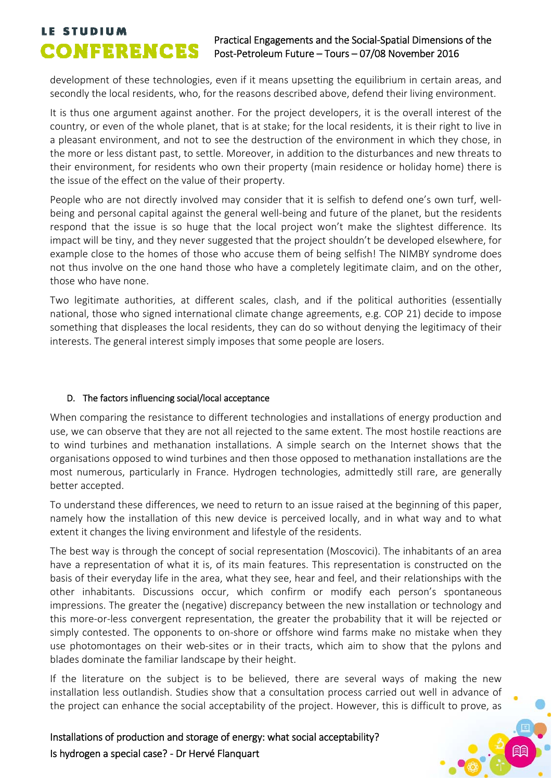## **LE STUDIUM**<br>Practical Engagements and the Social-Spatial Dimensions of the<br>Post-Petroleum Euture – Tours – 07/08 November 2016 Post‐Petroleum Future – Tours – 07/08 November 2016

development of these technologies, even if it means upsetting the equilibrium in certain areas, and secondly the local residents, who, for the reasons described above, defend their living environment.

It is thus one argument against another. For the project developers, it is the overall interest of the country, or even of the whole planet, that is at stake; for the local residents, it is their right to live in a pleasant environment, and not to see the destruction of the environment in which they chose, in the more or less distant past, to settle. Moreover, in addition to the disturbances and new threats to their environment, for residents who own their property (main residence or holiday home) there is the issue of the effect on the value of their property.

People who are not directly involved may consider that it is selfish to defend one's own turf, wellbeing and personal capital against the general well‐being and future of the planet, but the residents respond that the issue is so huge that the local project won't make the slightest difference. Its impact will be tiny, and they never suggested that the project shouldn't be developed elsewhere, for example close to the homes of those who accuse them of being selfish! The NIMBY syndrome does not thus involve on the one hand those who have a completely legitimate claim, and on the other, those who have none.

Two legitimate authorities, at different scales, clash, and if the political authorities (essentially national, those who signed international climate change agreements, e.g. COP 21) decide to impose something that displeases the local residents, they can do so without denying the legitimacy of their interests. The general interest simply imposes that some people are losers.

## D. The factors influencing social/local acceptance

When comparing the resistance to different technologies and installations of energy production and use, we can observe that they are not all rejected to the same extent. The most hostile reactions are to wind turbines and methanation installations. A simple search on the Internet shows that the organisations opposed to wind turbines and then those opposed to methanation installations are the most numerous, particularly in France. Hydrogen technologies, admittedly still rare, are generally better accepted.

To understand these differences, we need to return to an issue raised at the beginning of this paper, namely how the installation of this new device is perceived locally, and in what way and to what extent it changes the living environment and lifestyle of the residents.

The best way is through the concept of social representation (Moscovici). The inhabitants of an area have a representation of what it is, of its main features. This representation is constructed on the basis of their everyday life in the area, what they see, hear and feel, and their relationships with the other inhabitants. Discussions occur, which confirm or modify each person's spontaneous impressions. The greater the (negative) discrepancy between the new installation or technology and this more‐or‐less convergent representation, the greater the probability that it will be rejected or simply contested. The opponents to on‐shore or offshore wind farms make no mistake when they use photomontages on their web‐sites or in their tracts, which aim to show that the pylons and blades dominate the familiar landscape by their height.

If the literature on the subject is to be believed, there are several ways of making the new installation less outlandish. Studies show that a consultation process carried out well in advance of the project can enhance the social acceptability of the project. However, this is difficult to prove, as

Installations of production and storage of energy: what social acceptability? Is hydrogen a special case? ‐ Dr Hervé Flanquart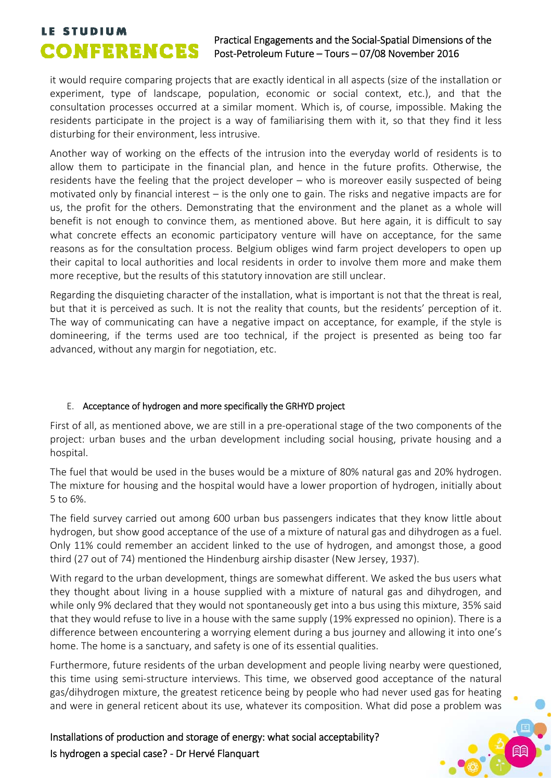## **LE STUDIUM**<br>Practical Engagements and the Social-Spatial Dimensions of the<br>Post-Petroleum Euture – Tours – 07/08 November 2016 Post‐Petroleum Future – Tours – 07/08 November 2016

it would require comparing projects that are exactly identical in all aspects (size of the installation or experiment, type of landscape, population, economic or social context, etc.), and that the consultation processes occurred at a similar moment. Which is, of course, impossible. Making the residents participate in the project is a way of familiarising them with it, so that they find it less disturbing for their environment, less intrusive.

Another way of working on the effects of the intrusion into the everyday world of residents is to allow them to participate in the financial plan, and hence in the future profits. Otherwise, the residents have the feeling that the project developer – who is moreover easily suspected of being motivated only by financial interest – is the only one to gain. The risks and negative impacts are for us, the profit for the others. Demonstrating that the environment and the planet as a whole will benefit is not enough to convince them, as mentioned above. But here again, it is difficult to say what concrete effects an economic participatory venture will have on acceptance, for the same reasons as for the consultation process. Belgium obliges wind farm project developers to open up their capital to local authorities and local residents in order to involve them more and make them more receptive, but the results of this statutory innovation are still unclear.

Regarding the disquieting character of the installation, what is important is not that the threat is real, but that it is perceived as such. It is not the reality that counts, but the residents' perception of it. The way of communicating can have a negative impact on acceptance, for example, if the style is domineering, if the terms used are too technical, if the project is presented as being too far advanced, without any margin for negotiation, etc.

## E. Acceptance of hydrogen and more specifically the GRHYD project

First of all, as mentioned above, we are still in a pre-operational stage of the two components of the project: urban buses and the urban development including social housing, private housing and a hospital.

The fuel that would be used in the buses would be a mixture of 80% natural gas and 20% hydrogen. The mixture for housing and the hospital would have a lower proportion of hydrogen, initially about 5 to 6%.

The field survey carried out among 600 urban bus passengers indicates that they know little about hydrogen, but show good acceptance of the use of a mixture of natural gas and dihydrogen as a fuel. Only 11% could remember an accident linked to the use of hydrogen, and amongst those, a good third (27 out of 74) mentioned the Hindenburg airship disaster (New Jersey, 1937).

With regard to the urban development, things are somewhat different. We asked the bus users what they thought about living in a house supplied with a mixture of natural gas and dihydrogen, and while only 9% declared that they would not spontaneously get into a bus using this mixture, 35% said that they would refuse to live in a house with the same supply (19% expressed no opinion). There is a difference between encountering a worrying element during a bus journey and allowing it into one's home. The home is a sanctuary, and safety is one of its essential qualities.

Furthermore, future residents of the urban development and people living nearby were questioned, this time using semi‐structure interviews. This time, we observed good acceptance of the natural gas/dihydrogen mixture, the greatest reticence being by people who had never used gas for heating and were in general reticent about its use, whatever its composition. What did pose a problem was

Installations of production and storage of energy: what social acceptability? Is hydrogen a special case? ‐ Dr Hervé Flanquart